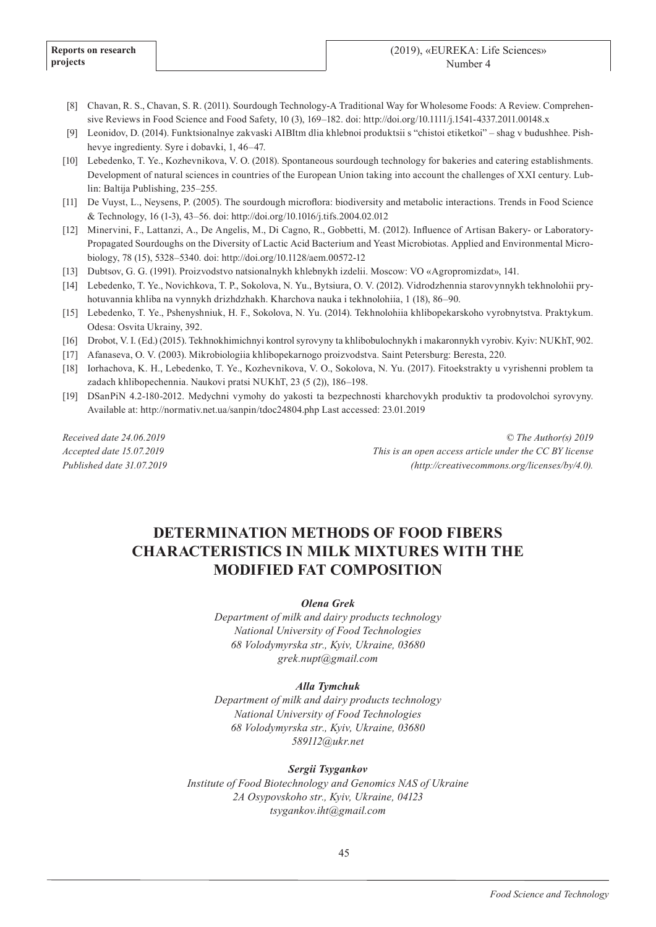- [8] Chavan, R. S., Chavan, S. R. (2011). Sourdough Technology-A Traditional Way for Wholesome Foods: A Review. Comprehensive Reviews in Food Science and Food Safety, 10 (3), 169–182. doi: http://doi.org/10.1111/j.1541-4337.2011.00148.x
- [9] Leonidov, D. (2014). Funktsionalnye zakvaski AIBItm dlia khlebnoi produktsii s "chistoi etiketkoi" shag v budushhee. Pishhevye ingredienty. Syre i dobavki, 1, 46–47.
- [10] Lebedenko, T. Ye., Kozhevnikova, V. O. (2018). Spontaneous sourdough technology for bakeries and catering establishments. Development of natural sciences in countries of the European Union taking into account the challenges of XXI century. Lublin: Baltija Publishing, 235–255.
- [11] De Vuyst, L., Neysens, P. (2005). The sourdough microflora: biodiversity and metabolic interactions. Trends in Food Science & Technology, 16 (1-3), 43–56. doi: http://doi.org/10.1016/j.tifs.2004.02.012
- [12] Minervini, F., Lattanzi, A., De Angelis, M., Di Cagno, R., Gobbetti, M. (2012). Influence of Artisan Bakery- or Laboratory-Propagated Sourdoughs on the Diversity of Lactic Acid Bacterium and Yeast Microbiotas. Applied and Environmental Microbiology, 78 (15), 5328–5340. doi: http://doi.org/10.1128/aem.00572-12
- [13] Dubtsov, G. G. (1991). Proizvodstvo natsionalnykh khlebnykh izdelii. Moscow: VO «Agropromizdat», 141.
- [14] Lebedenko, T. Ye., Novichkova, T. P., Sokolova, N. Yu., Bytsiura, O. V. (2012). Vidrodzhennia starovynnykh tekhnolohii pryhotuvannia khliba na vynnykh drizhdzhakh. Kharchova nauka i tekhnolohiia, 1 (18), 86–90.
- [15] Lebedenko, T. Ye., Pshenyshniuk, H. F., Sokolova, N. Yu. (2014). Tekhnolohiia khlibopekarskoho vyrobnytstva. Praktykum. Odesa: Osvita Ukrainy, 392.
- [16] Drobot, V. I. (Ed.) (2015). Tekhnokhimichnyi kontrol syrovyny ta khlibobulochnykh i makaronnykh vyrobiv. Kyiv: NUKhT, 902.
- [17] Afanaseva, O. V. (2003). Mikrobiologiia khlіbopekarnogo proizvodstva. Saint Petersburg: Beresta, 220.
- [18] Iorhachova, K. H., Lebedenko, T. Ye., Kozhevnikova, V. O., Sokolova, N. Yu. (2017). Fitoekstrakty u vyrishenni problem ta zadach khlibopechennia. Naukovi pratsi NUKhT, 23 (5 (2)), 186–198.
- [19] DSanPiN 4.2-180-2012. Medychni vymohy do yakosti ta bezpechnosti kharchovykh produktiv ta prodovolchoi syrovyny. Available at: http://normativ.net.ua/sanpin/tdoc24804.php Last accessed: 23.01.2019

*Received date 24.06.2019 Accepted date 15.07.2019 Published date 31.07.2019*

*© The Author(s) 2019 This is an open access article under the CC BY license (http://creativecommons.org/licenses/by/4.0).*

# **DETERMINATION METHODS OF FOOD FIBERS CHARACTERISTICS IN MILK MIXTURES WITH THE MODIFIED FAT COMPOSITION**

*Olena Grek*

*Department of milk and dairy products technology National University of Food Technologies 68 Volodymyrska str., Kyiv, Ukraine, 03680 grek.nupt@gmail.com*

# *Alla Tymchuk*

*Department of milk and dairy products technology National University of Food Technologies 68 Volodymyrska str., Kyiv, Ukraine, 03680 589112@ukr.net*

# *Sergii Tsygankov*

*Institute of Food Biotechnology and Genomics NAS of Ukraine 2A Osypovskoho str., Kyiv, Ukraine, 04123 tsygankov.iht@gmail.com*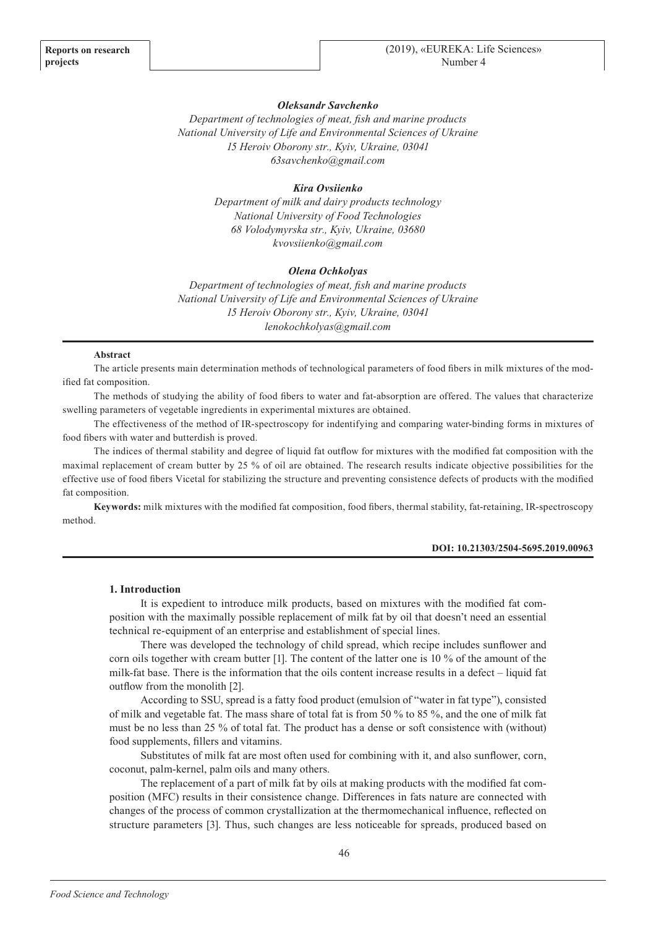# *Oleksandr Savchenko*

*Department of technologies of meat, fish and marine products National University of Life and Environmental Sciences of Ukraine 15 Heroiv Oborony str., Kyiv, Ukraine, 03041 63savchenko@gmail.com*

# *Kіra Ovsiienko*

*Department of milk and dairy products technology National University of Food Technologies 68 Volodymyrska str., Kyiv, Ukraine, 03680 kvovsiienko@gmail.com*

## *Оlena Ochkolyas*

*Department of technologies of meat, fish and marine products National University of Life and Environmental Sciences of Ukraine 15 Heroiv Oborony str., Kyiv, Ukraine, 03041 lenokochkolyas@gmail.com*

## **Abstract**

The article presents main determination methods of technological parameters of food fibers in milk mixtures of the modified fat composition.

The methods of studying the ability of food fibers to water and fat-absorption are offered. The values that characterize swelling parameters of vegetable ingredients in experimental mixtures are obtained.

The effectiveness of the method of IR-spectroscopy for indentifying and comparing water-binding forms in mixtures of food fibers with water and butterdish is proved.

The indices of thermal stability and degree of liquid fat outflow for mixtures with the modified fat composition with the maximal replacement of cream butter by 25 % of oil are obtained. The research results indicate objective possibilities for the effective use of food fibers Vicetal for stabilizing the structure and preventing consistence defects of products with the modified fat composition.

**Keywords:** milk mixtures with the modified fat composition, food fibers, thermal stability, fat-retaining, IR-spectroscopy method.

## **DOI: 10.21303/2504-5695.2019.00963**

#### **1. Introduction**

It is expedient to introduce milk products, based on mixtures with the modified fat composition with the maximally possible replacement of milk fat by oil that doesn't need an essential technical re-equipment of an enterprise and establishment of special lines.

There was developed the technology of child spread, which recipe includes sunflower and corn oils together with cream butter [1]. The content of the latter one is 10 % of the amount of the milk-fat base. There is the information that the oils content increase results in a defect – liquid fat outflow from the monolith [2].

According to SSU, spread is a fatty food product (emulsion of "water in fat type"), consisted of milk and vegetable fat. The mass share of total fat is from 50 % to 85 %, and the one of milk fat must be no less than 25 % of total fat. The product has a dense or soft consistence with (without) food supplements, fillers and vitamins.

Substitutes of milk fat are most often used for combining with it, and also sunflower, corn, coconut, palm-kernel, palm oils and many others.

The replacement of a part of milk fat by oils at making products with the modified fat composition (MFC) results in their consistence change. Differences in fats nature are connected with changes of the process of common crystallization at the thermomechanical influence, reflected on structure parameters [3]. Thus, such changes are less noticeable for spreads, produced based on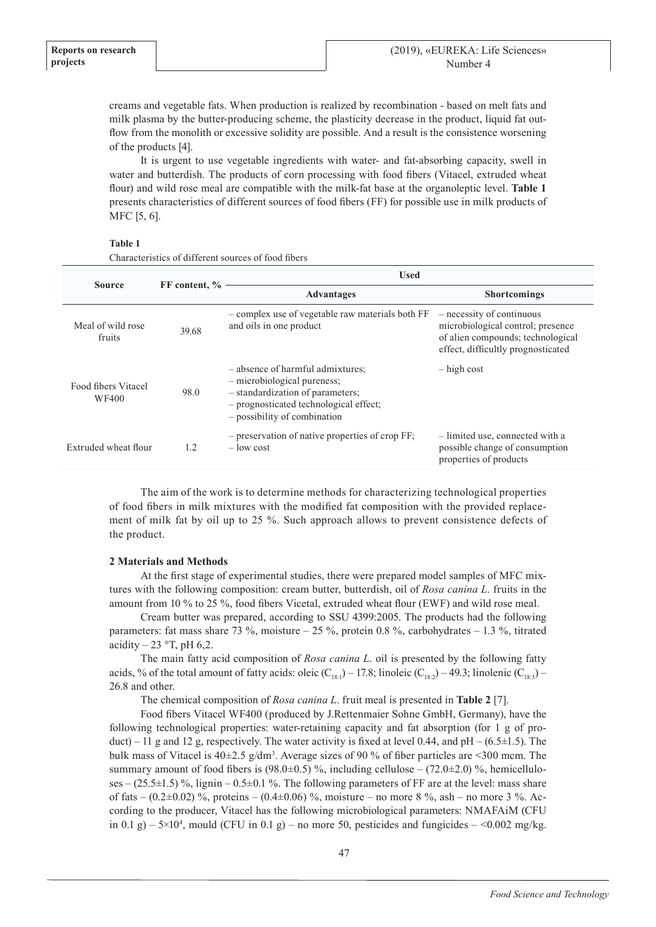creams and vegetable fats. When production is realized by recombination - based on melt fats and milk plasma by the butter-producing scheme, the plasticity decrease in the product, liquid fat outflow from the monolith or excessive solidity are possible. And a result is the consistence worsening of the products [4].

It is urgent to use vegetable ingredients with water- and fat-absorbing capacity, swell in water and butterdish. The products of corn processing with food fibers (Vitacel, extruded wheat flour) and wild rose meal are compatible with the milk-fat base at the organoleptic level. **Table 1**  presents characteristics of different sources of food fibers (FF) for possible use in milk products of MFC [5, 6].

# **Table 1**

| <b>Source</b>                | FF content, % | <b>Used</b>                                                                                                                                                                   |                                                                                                                                           |  |
|------------------------------|---------------|-------------------------------------------------------------------------------------------------------------------------------------------------------------------------------|-------------------------------------------------------------------------------------------------------------------------------------------|--|
|                              |               | <b>Advantages</b>                                                                                                                                                             | <b>Shortcomings</b>                                                                                                                       |  |
| Meal of wild rose<br>fruits  | 39.68         | - complex use of vegetable raw materials both FF<br>and oils in one product                                                                                                   | - necessity of continuous<br>microbiological control; presence<br>of alien compounds; technological<br>effect, difficultly prognosticated |  |
| Food fibers Vitacel<br>WF400 | 98.0          | - absence of harmful admixtures;<br>- microbiological pureness;<br>- standardization of parameters;<br>- prognosticated technological effect;<br>- possibility of combination | $-$ high cost                                                                                                                             |  |
| Extruded wheat flour         | 1.2           | $-$ preservation of native properties of crop FF;<br>$-$ low cost                                                                                                             | - limited use, connected with a<br>possible change of consumption<br>properties of products                                               |  |

Characteristics of different sources of food fibers

The aim of the work is to determine methods for characterizing technological properties of food fibers in milk mixtures with the modified fat composition with the provided replacement of milk fat by oil up to 25 %. Such approach allows to prevent consistence defects of the product.

# **2 Мaterials and Methods**

At the first stage of experimental studies, there were prepared model samples of MFC mixtures with the following composition: cream butter, butterdish, oil of *Rosa canina L*. fruits in the amount from 10 % to 25 %, food fibers Vicetal, extruded wheat flour (EWF) and wild rose meal.

Cream butter was prepared, according to SSU 4399:2005. The products had the following parameters: fat mass share 73 %, moisture – 25 %, protein 0.8 %, carbohydrates – 1.3 %, titrated acidity  $-23$  °T, pH 6,2.

The main fatty acid composition of *Rosa canina L*. oil is presented by the following fatty acids, % of the total amount of fatty acids: oleic  $(C_{18.1})$  – 17.8; linoleic  $(C_{18.2})$  – 49.3; linolenic  $(C_{18.3})$  – 26.8 and other.

The chemical composition of *Rosa canina L*. fruit meal is presented in **Table 2** [7].

Food fibers Vitacel WF400 (produced by J.Rettenmaier Sohne GmbH, Germany), have the following technological properties: water-retaining capacity and fat absorption (for 1 g of product) – 11 g and 12 g, respectively. The water activity is fixed at level 0.44, and  $pH - (6.5 \pm 1.5)$ . The bulk mass of Vitacel is  $40\pm2.5$  g/dm<sup>3</sup>. Average sizes of 90 % of fiber particles are <300 mcm. The summary amount of food fibers is  $(98.0\pm0.5)$ %, including cellulose –  $(72.0\pm2.0)$ %, hemicelluloses –  $(25.5\pm1.5)$  %, lignin –  $0.5\pm0.1$  %. The following parameters of FF are at the level: mass share of fats –  $(0.2\pm 0.02)$  %, proteins –  $(0.4\pm 0.06)$  %, moisture – no more 8 %, ash – no more 3 %. According to the producer, Vitacel has the following microbiological parameters: NMAFAiM (CFU in 0.1 g) –  $5\times10^4$ , mould (CFU in 0.1 g) – no more 50, pesticides and fungicides – <0.002 mg/kg.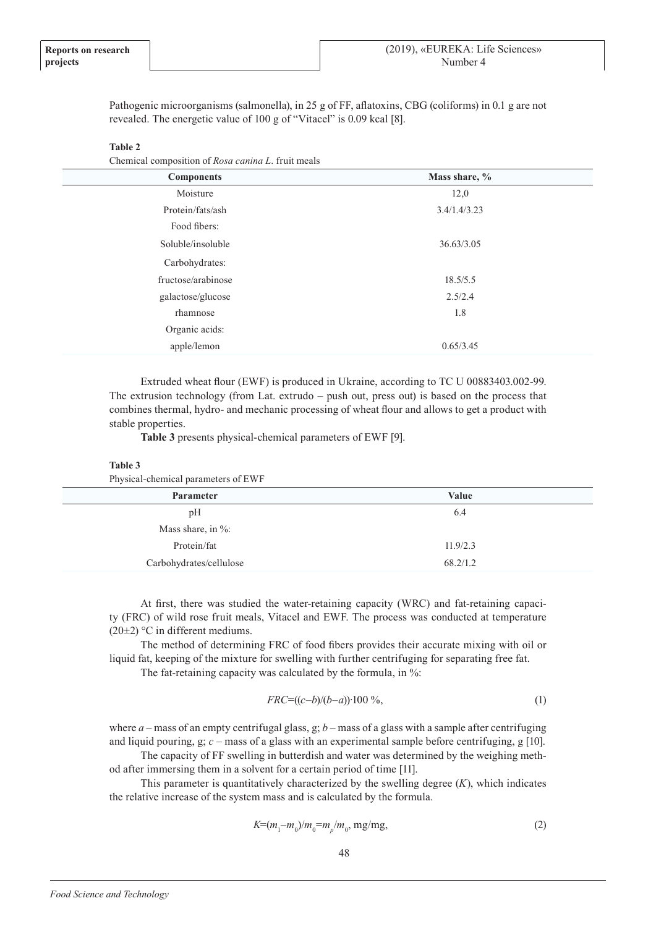Pathogenic microorganisms (salmonella), in 25 g of FF, aflatoxins, CBG (coliforms) in 0.1 g are not revealed. The energetic value of 100 g of "Vitacel" is 0.09 kcal [8].

#### **Table 2**

Chemical composition of *Rosa canina L*. fruit meals

| <b>Components</b>  | Mass share, % |  |  |
|--------------------|---------------|--|--|
| Moisture           | 12,0          |  |  |
| Protein/fats/ash   | 3.4/1.4/3.23  |  |  |
| Food fibers:       |               |  |  |
| Soluble/insoluble  | 36.63/3.05    |  |  |
| Carbohydrates:     |               |  |  |
| fructose/arabinose | 18.5/5.5      |  |  |
| galactose/glucose  | 2.5/2.4       |  |  |
| rhamnose           | 1.8           |  |  |
| Organic acids:     |               |  |  |
| apple/lemon        | 0.65/3.45     |  |  |
|                    |               |  |  |

Extruded wheat flour (EWF) is produced in Ukraine, according to TC U 00883403.002-99. The extrusion technology (from Lat. extrudo – push out, press out) is based on the process that combines thermal, hydro- and mechanic processing of wheat flour and allows to get a product with stable properties.

**Table 3** presents physical-chemical parameters of EWF [9].

#### **Table 3**

Physical-chemical parameters of EWF

| <b>Parameter</b>        | Value    |
|-------------------------|----------|
| pH                      | 6.4      |
| Mass share, in $\%$ :   |          |
| Protein/fat             | 11.9/2.3 |
| Carbohydrates/cellulose | 68.2/1.2 |

At first, there was studied the water-retaining capacity (WRC) and fat-retaining capacity (FRC) of wild rose fruit meals, Vitacel and EWF. The process was conducted at temperature (20 $\pm$ 2) °C in different mediums.

The method of determining FRC of food fibers provides their accurate mixing with oil or liquid fat, keeping of the mixture for swelling with further centrifuging for separating free fat.

The fat-retaining capacity was calculated by the formula, in %:

$$
FRC = ((c - b)/(b - a)) \cdot 100\%
$$
\n<sup>(1)</sup>

where  $a$  – mass of an empty centrifugal glass,  $g$ ;  $b$  – mass of a glass with a sample after centrifuging and liquid pouring, g; *с* – mass of a glass with an experimental sample before centrifuging, g [10].

The capacity of FF swelling in butterdish and water was determined by the weighing method after immersing them in a solvent for a certain period of time [11].

This parameter is quantitatively characterized by the swelling degree (*K*), which indicates the relative increase of the system mass and is calculated by the formula.

$$
K = (m_1 - m_0)/m_0 = m_p/m_0, \text{ mg/mg}, \tag{2}
$$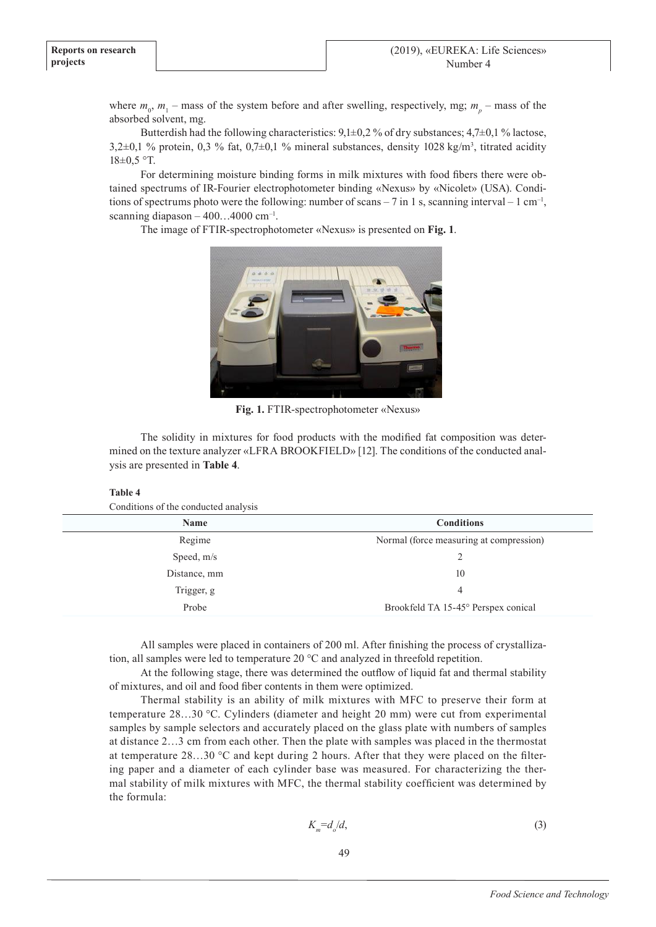where  $m_0$ ,  $m_1$  – mass of the system before and after swelling, respectively, mg;  $m_p$  – mass of the absorbed solvent, mg.

Butterdish had the following characteristics:  $9.1\pm0.2$  % of dry substances:  $4.7\pm0.1$  % lactose,  $3,2\pm0,1\%$  protein,  $0,3\%$  fat,  $0,7\pm0,1\%$  mineral substances, density 1028 kg/m<sup>3</sup>, titrated acidity  $18\pm0.5$  °T.

For determining moisture binding forms in milk mixtures with food fibers there were obtained spectrums of IR-Fourier electrophotometer binding «Nexus» by «Nicolet» (USA). Conditions of spectrums photo were the following: number of scans  $-7$  in 1 s, scanning interval  $-1$  cm<sup>-1</sup>, scanning diapason  $-400...4000$  cm<sup>-1</sup>.

The image of FTIR-spectrophotometer «Nexus» is presented on **Fig. 1**.



**Fig. 1.** FTIR-spectrophotometer «Nexus»

The solidity in mixtures for food products with the modified fat composition was determined on the texture analyzer «LFRA BROOKFIELD» [12]. The conditions of the conducted analysis are presented in **Table 4**.

# **Table 4**

Conditions of the conducted analysis

| <b>Name</b>  | <b>Conditions</b>                       |  |  |
|--------------|-----------------------------------------|--|--|
| Regime       | Normal (force measuring at compression) |  |  |
| Speed, m/s   |                                         |  |  |
| Distance, mm | 10                                      |  |  |
| Trigger, g   | 4                                       |  |  |
| Probe        | Brookfeld TA 15-45° Perspex conical     |  |  |

All samples were placed in containers of 200 ml. After finishing the process of crystallization, all samples were led to temperature 20 °С and analyzed in threefold repetition.

At the following stage, there was determined the outflow of liquid fat and thermal stability of mixtures, and oil and food fiber contents in them were optimized.

Thermal stability is an ability of milk mixtures with MFC to preserve their form at temperature 28…30 °С. Cylinders (diameter and height 20 mm) were cut from experimental samples by sample selectors and accurately placed on the glass plate with numbers of samples at distance 2…3 cm from each other. Then the plate with samples was placed in the thermostat at temperature 28…30 °С and kept during 2 hours. After that they were placed on the filtering paper and a diameter of each cylinder base was measured. For characterizing the thermal stability of milk mixtures with MFC, the thermal stability coefficient was determined by the formula:

$$
K_m = d_o/d,\tag{3}
$$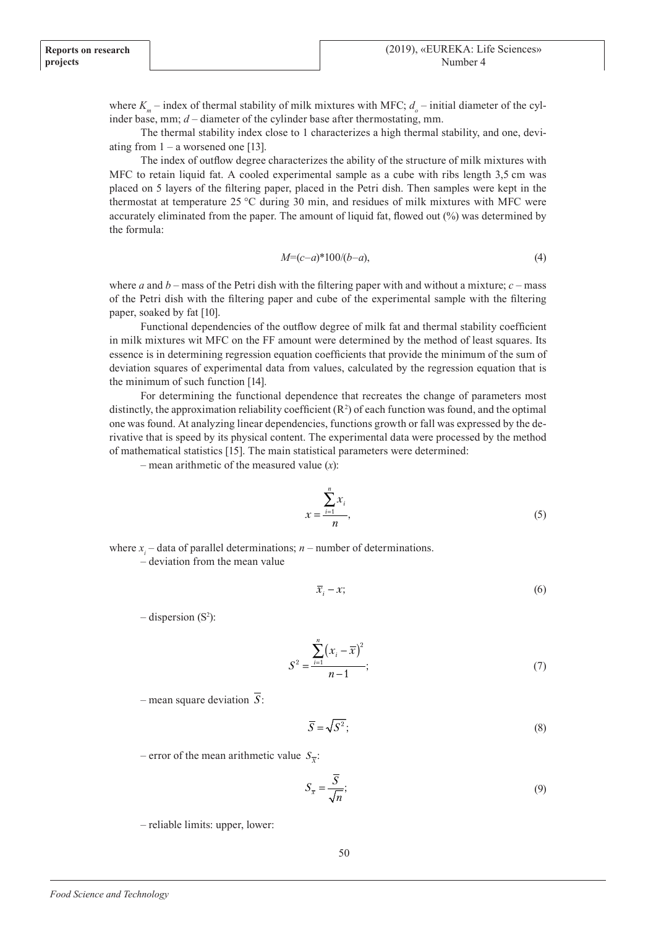where  $K_m$  – index of thermal stability of milk mixtures with MFC;  $d_o$  – initial diameter of the cylinder base, mm; *d* – diameter of the cylinder base after thermostating, mm.

The thermal stability index close to 1 characterizes a high thermal stability, and one, deviating from  $1 - a$  worsened one [13].

The index of outflow degree characterizes the ability of the structure of milk mixtures with MFC to retain liquid fat. A cooled experimental sample as a cube with ribs length 3,5 cm was placed on 5 layers of the filtering paper, placed in the Petri dish. Then samples were kept in the thermostat at temperature 25 °С during 30 min, and residues of milk mixtures with MFC were accurately eliminated from the paper. The amount of liquid fat, flowed out (%) was determined by the formula:

$$
M=(c-a)*100/(b-a),
$$
\n(4)

where *a* and  $b$  – mass of the Petri dish with the filtering paper with and without a mixture;  $c$  – mass of the Petri dish with the filtering paper and cube of the experimental sample with the filtering paper, soaked by fat [10].

Functional dependencies of the outflow degree of milk fat and thermal stability coefficient in milk mixtures wit MFC on the FF amount were determined by the method of least squares. Its essence is in determining regression equation coefficients that provide the minimum of the sum of deviation squares of experimental data from values, calculated by the regression equation that is the minimum of such function [14].

For determining the functional dependence that recreates the change of parameters most distinctly, the approximation reliability coefficient  $(R^2)$  of each function was found, and the optimal one was found. At analyzing linear dependencies, functions growth or fall was expressed by the derivative that is speed by its physical content. The experimental data were processed by the method of mathematical statistics [15]. The main statistical parameters were determined:

– mean arithmetic of the measured value (*х*):

$$
x = \frac{\sum_{i=1}^{n} x_i}{n},
$$
\n<sup>(5)</sup>

where  $x_i$  – data of parallel determinations;  $n$  – number of determinations.

– deviation from the mean value

$$
\overline{x}_i - x; \tag{6}
$$

 $-$  dispersion (S<sup>2</sup>):

$$
S^{2} = \frac{\sum_{i=1}^{n} (x_{i} - \overline{x})^{2}}{n-1};
$$
\n(7)

– mean square deviation  $\overline{S}$ :

$$
\overline{S} = \sqrt{S^2};\tag{8}
$$

 $-$  error of the mean arithmetic value  $S_{\overline{x}}$ :

$$
S_{\overline{x}} = \frac{\overline{S}}{\sqrt{n}};
$$
\n(9)

– reliable limits: upper, lower: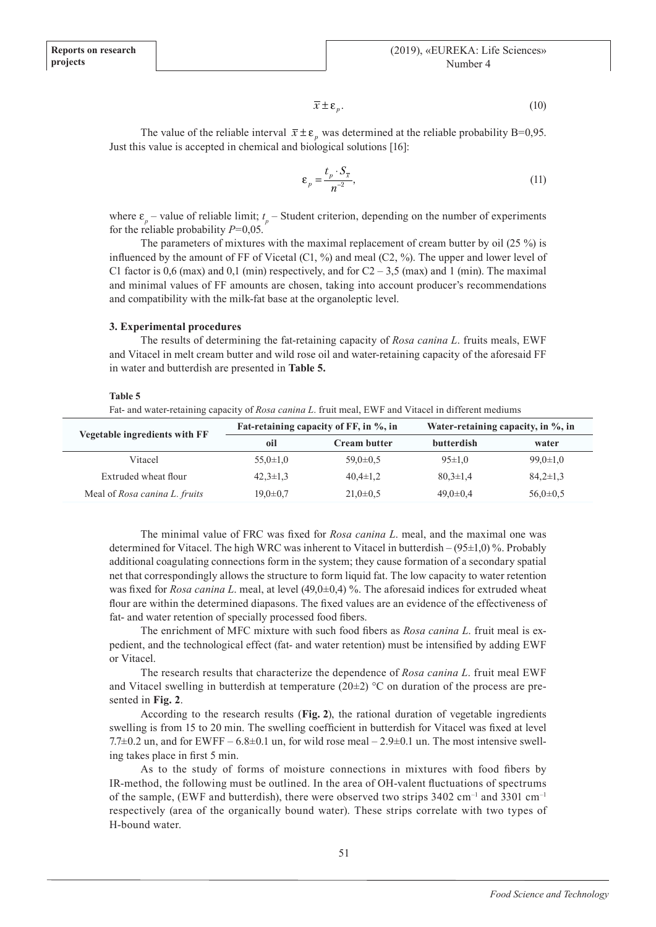$$
\overline{x} \pm \varepsilon_p. \tag{10}
$$

The value of the reliable interval  $\bar{x} \pm \varepsilon_p$  was determined at the reliable probability B=0,95. Just this value is accepted in chemical and biological solutions [16]:

$$
\varepsilon_p = \frac{t_p \cdot S_{\overline{x}}}{n^{-2}},\tag{11}
$$

where  $\varepsilon_p$  – value of reliable limit;  $t_p$  – Student criterion, depending on the number of experiments for the reliable probability *P*=0,05.

The parameters of mixtures with the maximal replacement of cream butter by oil (25 %) is influenced by the amount of FF of Vicetal (С1, %) and meal (С2, %). The upper and lower level of C1 factor is 0,6 (max) and 0,1 (min) respectively, and for  $C2 - 3.5$  (max) and 1 (min). The maximal and minimal values of FF amounts are chosen, taking into account producer's recommendations and compatibility with the milk-fat base at the organoleptic level.

## **3. Experimental procedures**

The results of determining the fat-retaining capacity of *Rosa canina L*. fruits meals, EWF and Vitacel in melt cream butter and wild rose oil and water-retaining capacity of the aforesaid FF in water and butterdish are presented in **Table 5.**

# **Table 5**

Fat- and water-retaining capacity of *Rosa canina L*. fruit meal, EWF and Vitacel in different mediums

| Vegetable ingredients with FF | Fat-retaining capacity of FF, in %, in |                     | Water-retaining capacity, in %, in |                |
|-------------------------------|----------------------------------------|---------------------|------------------------------------|----------------|
|                               | oil                                    | <b>Cream butter</b> | <b>butterdish</b>                  | water          |
| Vitacel                       | $55.0 \pm 1.0$                         | $59.0 \pm 0.5$      | $95 \pm 1.0$                       | $99.0 \pm 1.0$ |
| Extruded wheat flour          | $42.3 \pm 1.3$                         | $40,4\pm1,2$        | $80,3 \pm 1,4$                     | $84,2\pm1,3$   |
| Meal of Rosa canina L. fruits | $19.0 \pm 0.7$                         | $21,0\pm0.5$        | $49.0 \pm 0.4$                     | $56.0 \pm 0.5$ |

The minimal value of FRC was fixed for *Rosa canina L*. meal, and the maximal one was determined for Vitacel. The high WRC was inherent to Vitacel in butterdish – (95±1,0) %. Probably additional coagulating connections form in the system; they cause formation of a secondary spatial net that correspondingly allows the structure to form liquid fat. The low capacity to water retention was fixed for *Rosa canina L*. meal, at level (49,0±0,4) %. The aforesaid indices for extruded wheat flour are within the determined diapasons. The fixed values are an evidence of the effectiveness of fat- and water retention of specially processed food fibers.

The enrichment of MFC mixture with such food fibers as *Rosa canina L*. fruit meal is expedient, and the technological effect (fat- and water retention) must be intensified by adding EWF or Vitacel.

The research results that characterize the dependence of *Rosa canina L*. fruit meal EWF and Vitacel swelling in butterdish at temperature  $(20\pm 2)$  °C on duration of the process are presented in **Fig. 2**.

According to the research results (**Fig. 2**), the rational duration of vegetable ingredients swelling is from 15 to 20 min. The swelling coefficient in butterdish for Vitacel was fixed at level 7.7 $\pm$ 0.2 un, and for EWFF – 6.8 $\pm$ 0.1 un, for wild rose meal – 2.9 $\pm$ 0.1 un. The most intensive swelling takes place in first 5 min.

As to the study of forms of moisture connections in mixtures with food fibers by IR-method, the following must be outlined. In the area of OH-valent fluctuations of spectrums of the sample, (EWF and butterdish), there were observed two strips  $3402 \text{ cm}^{-1}$  and  $3301 \text{ cm}^{-1}$ respectively (area of the organically bound water). These strips correlate with two types of Н-bound water.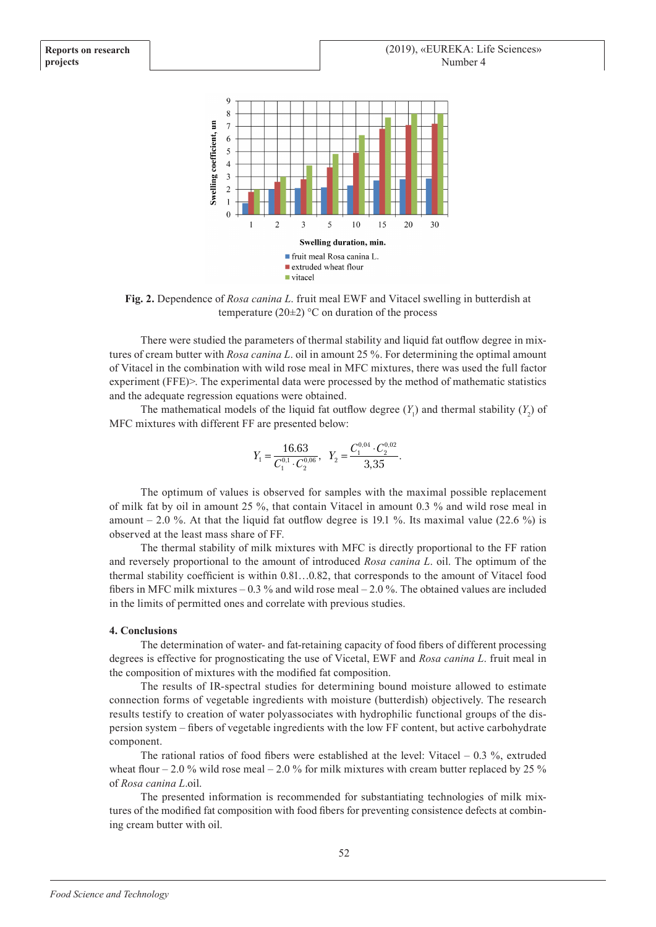

**Fig. 2.** Dependence of *Rosa canina L*. fruit meal EWF and Vitacel swelling in butterdish at temperature (20 $\pm$ 2) °C on duration of the process

There were studied the parameters of thermal stability and liquid fat outflow degree in mixtures of cream butter with *Rosa canina L*. oil in amount 25 %. For determining the optimal amount of Vitacel in the combination with wild rose meal in MFC mixtures, there was used the full factor experiment (FFE) >. The experimental data were processed by the method of mathematic statistics and the adequate regression equations were obtained.

The mathematical models of the liquid fat outflow degree  $(Y_1)$  and thermal stability  $(Y_2)$  of MFC mixtures with different FF are presented below:

$$
Y_1 = \frac{16.63}{C_1^{0,1} \cdot C_2^{0,06}}, \quad Y_2 = \frac{C_1^{0,04} \cdot C_2^{0,02}}{3,35}.
$$

The optimum of values is observed for samples with the maximal possible replacement of milk fat by oil in amount 25 %, that contain Vitacel in amount 0.3 % and wild rose meal in amount  $-2.0\%$ . At that the liquid fat outflow degree is 19.1 %. Its maximal value (22.6 %) is observed at the least mass share of FF.

The thermal stability of milk mixtures with MFC is directly proportional to the FF ration and reversely proportional to the amount of introduced *Rosa canina L*. oil. The optimum of the thermal stability coefficient is within 0.81…0.82, that corresponds to the amount of Vitacel food fibers in MFC milk mixtures  $-0.3\%$  and wild rose meal  $-2.0\%$ . The obtained values are included in the limits of permitted ones and correlate with previous studies.

# **4. Conclusions**

The determination of water- and fat-retaining capacity of food fibers of different processing degrees is effective for prognosticating the use of Vicetal, EWF and *Rosa canina L*. fruit meal in the composition of mixtures with the modified fat composition.

The results of IR-spectral studies for determining bound moisture allowed to estimate connection forms of vegetable ingredients with moisture (butterdish) objectively. The research results testify to creation of water polyassociates with hydrophilic functional groups of the dispersion system – fibers of vegetable ingredients with the low FF content, but active carbohydrate component.

The rational ratios of food fibers were established at the level: Vitacel – 0.3 %, extruded wheat flour – 2.0 % wild rose meal – 2.0 % for milk mixtures with cream butter replaced by 25 % of *Rosa canina L*.oil.

The presented information is recommended for substantiating technologies of milk mixtures of the modified fat composition with food fibers for preventing consistence defects at combining cream butter with oil.